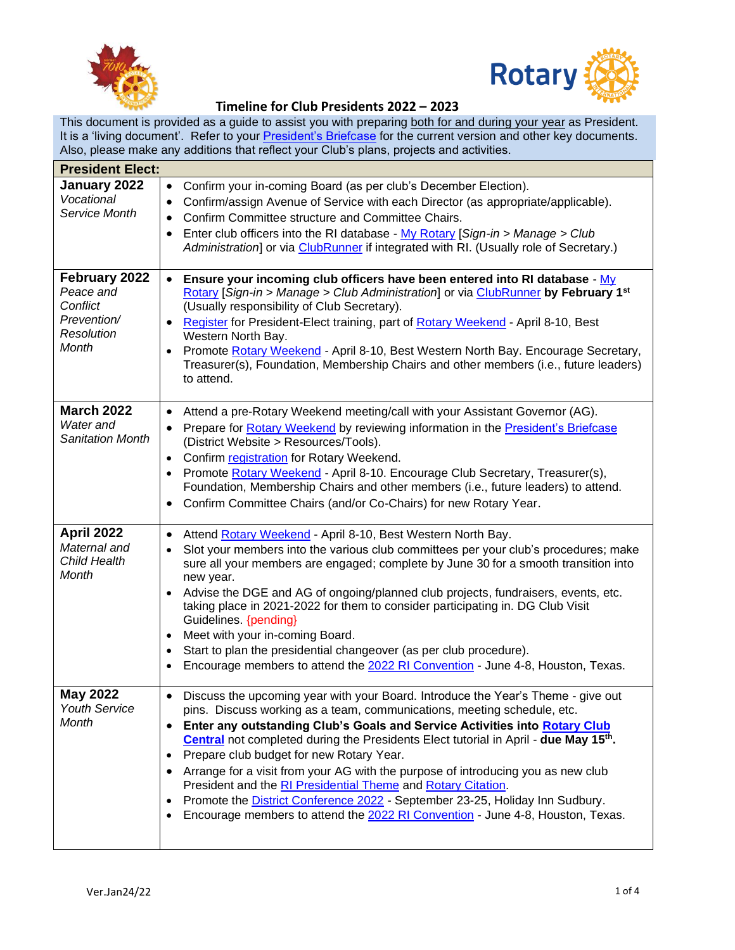



This document is provided as a guide to assist you with preparing both for and during your year as President. It is a 'living document'. Refer to your [President's Briefcase](https://portal.clubrunner.ca/50040/sitepage/club-president-s-briefcase) for the current version and other key documents. Also, please make any additions that reflect your Club's plans, projects and activities.

| <b>President Elect:</b>                                                      |                                                                                                                                                                                                                                                                                                                                                                                                                                                                                                                                                                                                                                                                                                                                                       |  |
|------------------------------------------------------------------------------|-------------------------------------------------------------------------------------------------------------------------------------------------------------------------------------------------------------------------------------------------------------------------------------------------------------------------------------------------------------------------------------------------------------------------------------------------------------------------------------------------------------------------------------------------------------------------------------------------------------------------------------------------------------------------------------------------------------------------------------------------------|--|
| January 2022<br>Vocational<br>Service Month                                  | Confirm your in-coming Board (as per club's December Election).<br>$\bullet$<br>Confirm/assign Avenue of Service with each Director (as appropriate/applicable).<br>$\bullet$<br>Confirm Committee structure and Committee Chairs.<br>$\bullet$<br>Enter club officers into the RI database - My Rotary [Sign-in > Manage > Club<br>٠<br>Administration] or via ClubRunner if integrated with RI. (Usually role of Secretary.)                                                                                                                                                                                                                                                                                                                        |  |
| February 2022<br>Peace and<br>Conflict<br>Prevention/<br>Resolution<br>Month | Ensure your incoming club officers have been entered into RI database - My<br>$\bullet$<br>Rotary [Sign-in > Manage > Club Administration] or via ClubRunner by February 1 <sup>st</sup><br>(Usually responsibility of Club Secretary).<br>Register for President-Elect training, part of Rotary Weekend - April 8-10, Best<br>$\bullet$<br>Western North Bay.<br>Promote Rotary Weekend - April 8-10, Best Western North Bay. Encourage Secretary,<br>$\bullet$<br>Treasurer(s), Foundation, Membership Chairs and other members (i.e., future leaders)<br>to attend.                                                                                                                                                                                |  |
| <b>March 2022</b><br>Water and<br><b>Sanitation Month</b>                    | Attend a pre-Rotary Weekend meeting/call with your Assistant Governor (AG).<br>$\bullet$<br>Prepare for Rotary Weekend by reviewing information in the President's Briefcase<br>$\bullet$<br>(District Website > Resources/Tools).<br>Confirm registration for Rotary Weekend.<br>$\bullet$<br>Promote Rotary Weekend - April 8-10. Encourage Club Secretary, Treasurer(s),<br>$\bullet$<br>Foundation, Membership Chairs and other members (i.e., future leaders) to attend.<br>Confirm Committee Chairs (and/or Co-Chairs) for new Rotary Year.<br>$\bullet$                                                                                                                                                                                        |  |
| April 2022<br>Maternal and<br>Child Health<br><b>Month</b>                   | Attend Rotary Weekend - April 8-10, Best Western North Bay.<br>$\bullet$<br>Slot your members into the various club committees per your club's procedures; make<br>$\bullet$<br>sure all your members are engaged; complete by June 30 for a smooth transition into<br>new year.<br>Advise the DGE and AG of ongoing/planned club projects, fundraisers, events, etc.<br>$\bullet$<br>taking place in 2021-2022 for them to consider participating in. DG Club Visit<br>Guidelines. {pending}<br>Meet with your in-coming Board.<br>$\bullet$<br>Start to plan the presidential changeover (as per club procedure).<br>$\bullet$<br>Encourage members to attend the 2022 RI Convention - June 4-8, Houston, Texas.<br>٠                               |  |
| <b>May 2022</b><br><b>Youth Service</b><br><b>Month</b>                      | Discuss the upcoming year with your Board. Introduce the Year's Theme - give out<br>pins. Discuss working as a team, communications, meeting schedule, etc.<br>Enter any outstanding Club's Goals and Service Activities into Rotary Club<br>$\bullet$<br>Central not completed during the Presidents Elect tutorial in April - due May 15 <sup>th</sup> .<br>Prepare club budget for new Rotary Year.<br>$\bullet$<br>Arrange for a visit from your AG with the purpose of introducing you as new club<br>٠<br>President and the RI Presidential Theme and Rotary Citation.<br>Promote the <b>District Conference 2022</b> - September 23-25, Holiday Inn Sudbury.<br>Encourage members to attend the 2022 RI Convention - June 4-8, Houston, Texas. |  |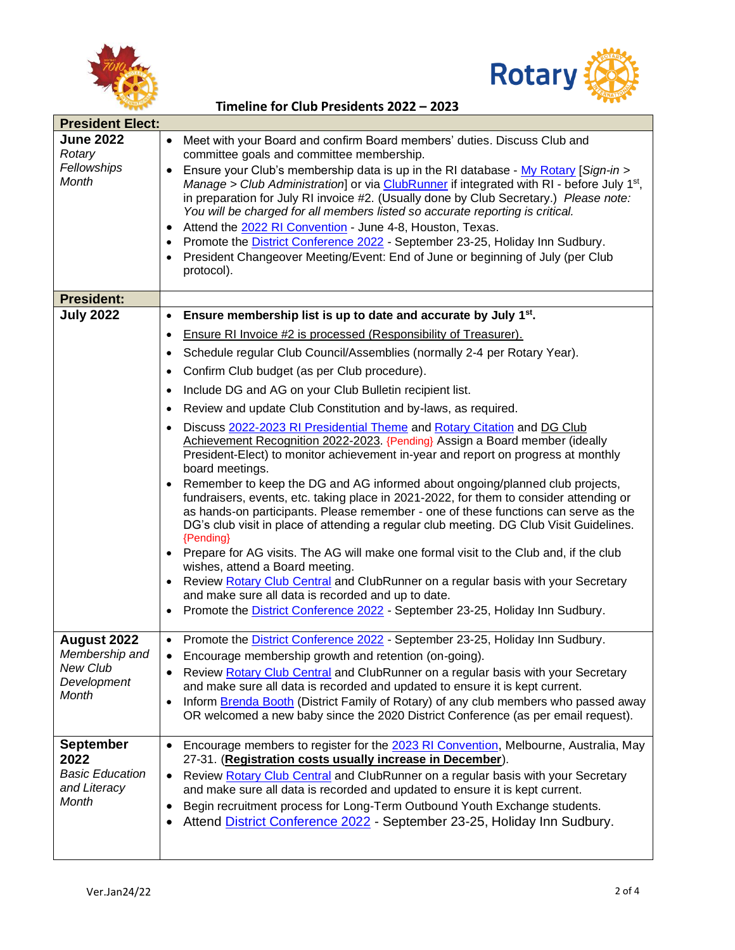



| • Meet with your Board and confirm Board members' duties. Discu   |
|-------------------------------------------------------------------|
| committee goals and committee membership.                         |
| • Ensure your Club's membership data is up in the RI database - I |
| Manage > Club Administration or via ClubRunner if integrated w    |

| <b>June 2022</b><br>Rotary<br>Fellowships<br><b>Month</b> | Meet with your Board and confirm Board members' duties. Discuss Club and<br>committee goals and committee membership.<br>Ensure your Club's membership data is up in the RI database - My Rotary [Sign-in ><br>Manage > Club Administration] or via ClubRunner if integrated with RI - before July 1 <sup>st</sup> ,<br>in preparation for July RI invoice #2. (Usually done by Club Secretary.) Please note:<br>You will be charged for all members listed so accurate reporting is critical.<br>Attend the 2022 RI Convention - June 4-8, Houston, Texas.<br>Promote the <b>District Conference 2022</b> - September 23-25, Holiday Inn Sudbury.<br>President Changeover Meeting/Event: End of June or beginning of July (per Club<br>protocol).                                                                                                                                                                                                                                                         |
|-----------------------------------------------------------|------------------------------------------------------------------------------------------------------------------------------------------------------------------------------------------------------------------------------------------------------------------------------------------------------------------------------------------------------------------------------------------------------------------------------------------------------------------------------------------------------------------------------------------------------------------------------------------------------------------------------------------------------------------------------------------------------------------------------------------------------------------------------------------------------------------------------------------------------------------------------------------------------------------------------------------------------------------------------------------------------------|
| <b>President:</b>                                         |                                                                                                                                                                                                                                                                                                                                                                                                                                                                                                                                                                                                                                                                                                                                                                                                                                                                                                                                                                                                            |
| <b>July 2022</b>                                          | Ensure membership list is up to date and accurate by July 1 <sup>st</sup> .<br>$\bullet$                                                                                                                                                                                                                                                                                                                                                                                                                                                                                                                                                                                                                                                                                                                                                                                                                                                                                                                   |
|                                                           | Ensure RI Invoice #2 is processed (Responsibility of Treasurer).<br>$\bullet$                                                                                                                                                                                                                                                                                                                                                                                                                                                                                                                                                                                                                                                                                                                                                                                                                                                                                                                              |
|                                                           | Schedule regular Club Council/Assemblies (normally 2-4 per Rotary Year).<br>$\bullet$                                                                                                                                                                                                                                                                                                                                                                                                                                                                                                                                                                                                                                                                                                                                                                                                                                                                                                                      |
|                                                           | Confirm Club budget (as per Club procedure).<br>$\bullet$                                                                                                                                                                                                                                                                                                                                                                                                                                                                                                                                                                                                                                                                                                                                                                                                                                                                                                                                                  |
|                                                           | Include DG and AG on your Club Bulletin recipient list.<br>$\bullet$                                                                                                                                                                                                                                                                                                                                                                                                                                                                                                                                                                                                                                                                                                                                                                                                                                                                                                                                       |
|                                                           | Review and update Club Constitution and by-laws, as required.                                                                                                                                                                                                                                                                                                                                                                                                                                                                                                                                                                                                                                                                                                                                                                                                                                                                                                                                              |
|                                                           | Discuss 2022-2023 RI Presidential Theme and Rotary Citation and DG Club<br>Achievement Recognition 2022-2023. {Pending} Assign a Board member (ideally<br>President-Elect) to monitor achievement in-year and report on progress at monthly<br>board meetings.<br>Remember to keep the DG and AG informed about ongoing/planned club projects,<br>$\bullet$<br>fundraisers, events, etc. taking place in 2021-2022, for them to consider attending or<br>as hands-on participants. Please remember - one of these functions can serve as the<br>DG's club visit in place of attending a regular club meeting. DG Club Visit Guidelines.<br>{Pending}<br>Prepare for AG visits. The AG will make one formal visit to the Club and, if the club<br>wishes, attend a Board meeting.<br>Review Rotary Club Central and ClubRunner on a regular basis with your Secretary<br>and make sure all data is recorded and up to date.<br>Promote the District Conference 2022 - September 23-25, Holiday Inn Sudbury. |
| August 2022                                               | Promote the <b>District Conference 2022</b> - September 23-25, Holiday Inn Sudbury.<br>$\bullet$                                                                                                                                                                                                                                                                                                                                                                                                                                                                                                                                                                                                                                                                                                                                                                                                                                                                                                           |
| Membership and<br><b>New Club</b>                         | Encourage membership growth and retention (on-going).<br>$\bullet$<br>Review Rotary Club Central and ClubRunner on a regular basis with your Secretary                                                                                                                                                                                                                                                                                                                                                                                                                                                                                                                                                                                                                                                                                                                                                                                                                                                     |
| Development                                               | and make sure all data is recorded and updated to ensure it is kept current.                                                                                                                                                                                                                                                                                                                                                                                                                                                                                                                                                                                                                                                                                                                                                                                                                                                                                                                               |
| Month                                                     | Inform Brenda Booth (District Family of Rotary) of any club members who passed away<br>$\bullet$<br>OR welcomed a new baby since the 2020 District Conference (as per email request).                                                                                                                                                                                                                                                                                                                                                                                                                                                                                                                                                                                                                                                                                                                                                                                                                      |
| <b>September</b>                                          | Encourage members to register for the 2023 RI Convention, Melbourne, Australia, May<br>$\bullet$                                                                                                                                                                                                                                                                                                                                                                                                                                                                                                                                                                                                                                                                                                                                                                                                                                                                                                           |
| 2022<br><b>Basic Education</b>                            | 27-31. (Registration costs usually increase in December).                                                                                                                                                                                                                                                                                                                                                                                                                                                                                                                                                                                                                                                                                                                                                                                                                                                                                                                                                  |
| and Literacy                                              | Review Rotary Club Central and ClubRunner on a regular basis with your Secretary<br>$\bullet$<br>and make sure all data is recorded and updated to ensure it is kept current.                                                                                                                                                                                                                                                                                                                                                                                                                                                                                                                                                                                                                                                                                                                                                                                                                              |
| Month                                                     | Begin recruitment process for Long-Term Outbound Youth Exchange students.<br>$\bullet$                                                                                                                                                                                                                                                                                                                                                                                                                                                                                                                                                                                                                                                                                                                                                                                                                                                                                                                     |
|                                                           | Attend District Conference 2022 - September 23-25, Holiday Inn Sudbury.<br>$\bullet$                                                                                                                                                                                                                                                                                                                                                                                                                                                                                                                                                                                                                                                                                                                                                                                                                                                                                                                       |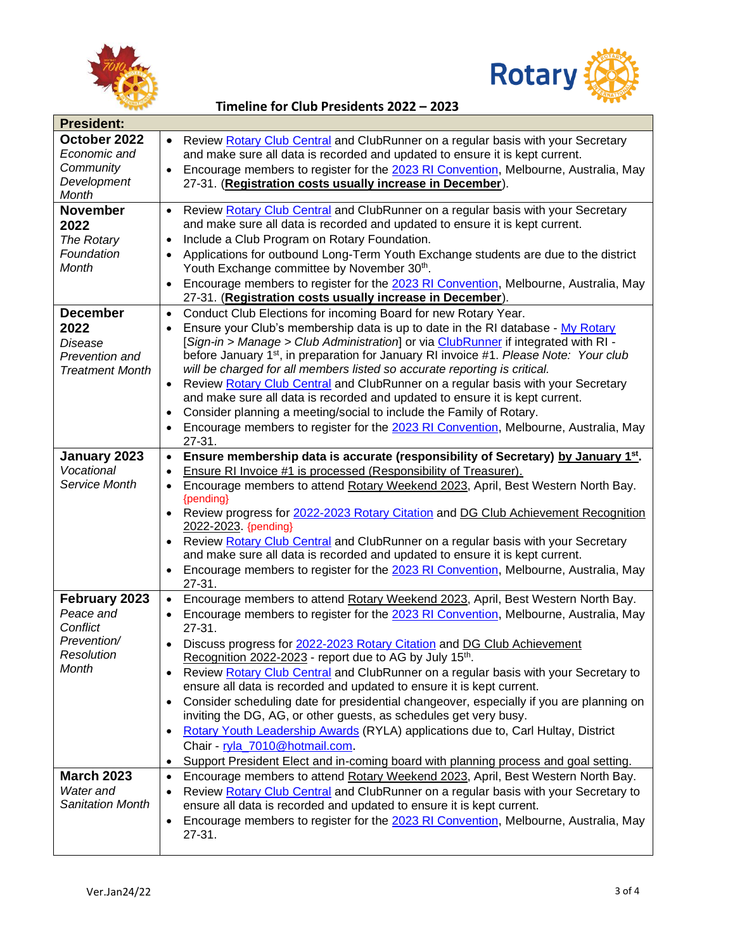



| <b>President:</b>                                                                   |                                                                                                                                                                                                                                                                                                                                                                                                                                                                                                                                                                                                                                                                                                                                                                                                                                                                                                                                                              |  |
|-------------------------------------------------------------------------------------|--------------------------------------------------------------------------------------------------------------------------------------------------------------------------------------------------------------------------------------------------------------------------------------------------------------------------------------------------------------------------------------------------------------------------------------------------------------------------------------------------------------------------------------------------------------------------------------------------------------------------------------------------------------------------------------------------------------------------------------------------------------------------------------------------------------------------------------------------------------------------------------------------------------------------------------------------------------|--|
| October 2022<br>Economic and<br>Community<br>Development<br>Month                   | Review Rotary Club Central and ClubRunner on a regular basis with your Secretary<br>$\bullet$<br>and make sure all data is recorded and updated to ensure it is kept current.<br>Encourage members to register for the 2023 RI Convention, Melbourne, Australia, May<br>$\bullet$<br>27-31. (Registration costs usually increase in December).                                                                                                                                                                                                                                                                                                                                                                                                                                                                                                                                                                                                               |  |
| <b>November</b><br>2022<br>The Rotary<br>Foundation<br>Month                        | Review Rotary Club Central and ClubRunner on a regular basis with your Secretary<br>$\bullet$<br>and make sure all data is recorded and updated to ensure it is kept current.<br>Include a Club Program on Rotary Foundation.<br>$\bullet$<br>Applications for outbound Long-Term Youth Exchange students are due to the district<br>$\bullet$<br>Youth Exchange committee by November 30th.<br>Encourage members to register for the 2023 RI Convention, Melbourne, Australia, May<br>$\bullet$<br>27-31. (Registration costs usually increase in December).                                                                                                                                                                                                                                                                                                                                                                                                |  |
| <b>December</b><br>2022<br>Disease<br>Prevention and<br><b>Treatment Month</b>      | Conduct Club Elections for incoming Board for new Rotary Year.<br>$\bullet$<br>Ensure your Club's membership data is up to date in the RI database - My Rotary<br>$\bullet$<br>[Sign-in > Manage > Club Administration] or via ClubRunner if integrated with RI -<br>before January 1 <sup>st</sup> , in preparation for January RI invoice #1. Please Note: Your club<br>will be charged for all members listed so accurate reporting is critical.<br>Review Rotary Club Central and ClubRunner on a regular basis with your Secretary<br>$\bullet$<br>and make sure all data is recorded and updated to ensure it is kept current.<br>Consider planning a meeting/social to include the Family of Rotary.<br>$\bullet$<br>Encourage members to register for the 2023 RI Convention, Melbourne, Australia, May<br>$\bullet$<br>27-31.                                                                                                                       |  |
| January 2023<br>Vocational<br>Service Month                                         | Ensure membership data is accurate (responsibility of Secretary) by January 1st.<br>$\bullet$<br>Ensure RI Invoice #1 is processed (Responsibility of Treasurer).<br>$\bullet$<br>Encourage members to attend Rotary Weekend 2023, April, Best Western North Bay.<br>$\bullet$<br>{pending}<br>Review progress for 2022-2023 Rotary Citation and DG Club Achievement Recognition<br>$\bullet$<br>2022-2023. {pending}<br>Review Rotary Club Central and ClubRunner on a regular basis with your Secretary<br>$\bullet$<br>and make sure all data is recorded and updated to ensure it is kept current.<br>Encourage members to register for the 2023 RI Convention, Melbourne, Australia, May<br>$\bullet$<br>27-31.                                                                                                                                                                                                                                         |  |
| February 2023<br>Peace and<br>Conflict<br>Prevention/<br>Resolution<br><b>Month</b> | Encourage members to attend Rotary Weekend 2023, April, Best Western North Bay.<br>$\bullet$<br>Encourage members to register for the 2023 RI Convention, Melbourne, Australia, May<br>$\bullet$<br>27-31.<br>Discuss progress for 2022-2023 Rotary Citation and DG Club Achievement<br>$\bullet$<br>Recognition 2022-2023 - report due to AG by July 15th.<br>Review Rotary Club Central and ClubRunner on a regular basis with your Secretary to<br>$\bullet$<br>ensure all data is recorded and updated to ensure it is kept current.<br>Consider scheduling date for presidential changeover, especially if you are planning on<br>$\bullet$<br>inviting the DG, AG, or other guests, as schedules get very busy.<br>Rotary Youth Leadership Awards (RYLA) applications due to, Carl Hultay, District<br>$\bullet$<br>Chair - ryla_7010@hotmail.com.<br>Support President Elect and in-coming board with planning process and goal setting.<br>$\bullet$ |  |
| <b>March 2023</b><br>Water and<br>Sanitation Month                                  | Encourage members to attend Rotary Weekend 2023, April, Best Western North Bay.<br>$\bullet$<br>Review Rotary Club Central and ClubRunner on a regular basis with your Secretary to<br>$\bullet$<br>ensure all data is recorded and updated to ensure it is kept current.<br>Encourage members to register for the 2023 RI Convention, Melbourne, Australia, May<br>$\bullet$<br>27-31.                                                                                                                                                                                                                                                                                                                                                                                                                                                                                                                                                                      |  |